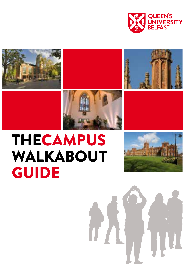









# THECAMPUS WALKABOUT GUIDE



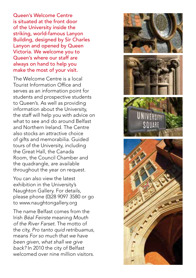Queen's Welcome Centre is situated at the front door of the University inside the striking, world-famous Lanyon Building, designed by Sir Charles Lanyon and opened by Queen Victoria. We welcome you to Queen's where our staff are always on hand to help you make the most of your visit.

The Welcome Centre is a local Tourist Information Office and serves as an information point for students and prospective students to Queen's. As well as providing information about the University, the staff will help you with advice on what to see and do around Belfast and Northern Ireland. The Centre also stocks an attractive choice of gifts and memorabilia. Guided tours of the University, including the Great Hall, the Canada Room, the Council Chamber and the quadrangle, are available throughout the year on request.

You can also view the latest exhibition in the University's Naughton Gallery. For details, please phone (0)28 9097 3580 or go to www.naughtongallery.org

The name Belfast comes from the Irish *Béal Feirste* meaning *Mouth of the River Farset*. The motto of the city, *Pro tanto quid retribuamus*, means *For so much that we have been given, what shall we give back?* In 2010 the city of Belfast welcomed over nine million visitors.

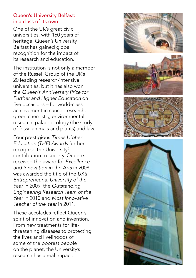## Queen's University Belfast: in a class of its own

One of the UK's great civic universities, with 160 years of heritage, Queen's University Belfast has gained global recognition for the impact of its research and education.

The institution is not only a member of the Russell Group of the UK's 20 leading research-intensive universities, but it has also won the *Queen's Anniversary Prize for Further and Higher Education* on five occasions – for world-class achievement in cancer research, green chemistry, environmental research, palaeoecology (the study of fossil animals and plants) and law.

Four prestigious *Times Higher Education (THE) Awards* further recognise the University's contribution to society. Queen's received the award for *Excellence and Innovation in the Arts* in 2008, was awarded the title of the *UK's Entrepreneurial University of the Year* in 2009, the *Outstanding Engineering Research Team of the Year* in 2010 and *Most Innovative Teacher of the Year* in 2011.

These accolades reflect Queen's spirit of innovation and invention. From new treatments for lifethreatening diseases to protecting the lives and livelihoods of some of the poorest people on the planet, the University's research has a real impact.

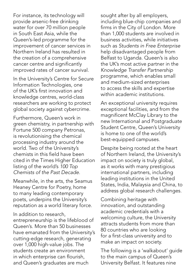For instance, its technology will provide arsenic-free drinking water for over 70 million people in South East Asia, while the Queen's-led programme for the improvement of cancer services in Northern Ireland has resulted in the creation of a comprehensive cancer centre and significantly improved rates of cancer survival.

In the University's Centre for Secure Information Technologies, one of the UK's first innovation and knowledge centres, world-class researchers are working to protect global society against cybercrime.

Furthermore, Queen's work in green chemistry, in partnership with Fortune 500 company Petronas, is revolutionising the chemical processing industry around the world. Two of the University's chemists in this field have been cited in the Times Higher Education listing of the world's *100 Top Chemists of the Past Decade*.

Meanwhile, in the arts, the Seamus Heaney Centre for Poetry, home to many leading contemporary poets, underpins the University's reputation as a world literary force.

In addition to research,

entrepreneurship is the lifeblood of Queen's. More than 50 businesses have emanated from the University's cutting-edge research, generating over 1,000 high-value jobs. The students create an environment in which enterprise can flourish, and Queen's graduates are much

sought after by all employers, including blue-chip companies and firms in the City of London. More than 1,000 students are involved in business activities, while initiatives such as *Students in Free Enterprise* help disadvantaged people from Belfast to Uganda. Queen's is also the UK's most active partner in the *Knowledge Transfer Partnership* programme, which enables small and medium-sized enterprises to access the skills and expertise within academic institutions.

An exceptional university requires exceptional facilities, and from the magnificent McClay Library to the new International and Postgraduate Student Centre, Queen's University is home to one of the world's best-equipped campuses.

Despite being rooted at the heart of Northern Ireland, the University's impact on society is truly global, as it works with many prestigious international partners, including leading institutions in the United States, India, Malaysia and China, to address global research challenges.

Combining heritage with innovation, and outstanding academic credentials with a welcoming culture, the University attracts students from more than 80 countries who are looking for a first-class university and to make an impact on society.

The following is a 'walkabout' guide to the main campus of Queen's University Belfast. It features nine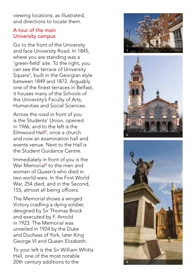viewing locations, as illustrated, and directions to locate them.

### A tour of the main University campus

Go to the front of the University and face University Road. In 1845, where you are standing was a 'green-field' site. To the right, you can see the terrace of University Square <sup>1</sup>, built in the Georgian style between 1849 and 1872. Arguably one of the finest terraces in Belfast. it houses many of the Schools of the University's Faculty of Arts, Humanities and Social Sciences.

Across the road in front of you is the Students' Union, opened in 1966, and to the left is the Elmwood Hall <sup>2</sup>, once a church and now an examination hall and events venue. Next to the Hall is the Student Guidance Centre.

Immediately in front of you is the War Memorial <sup>3</sup> to the men and women of Queen's who died in two world wars. In the First World War, 254 died, and in the Second, 155, almost all being officers.

The Memorial shows a winged Victory cradling a dying soldier, designed by Sir Thomas Brock and executed by F. Arnold in 1923. The Memorial was unveiled in 1924 by the Duke and Duchess of York, later King George VI and Queen Elizabeth.

To your left is the Sir William Whitla Hall, one of the most notable 20th century additions to the





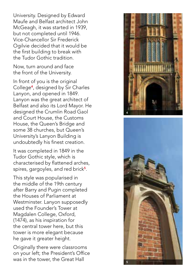University. Designed by Edward Maufe and Belfast architect John McGeagh, it was started in 1939, but not completed until 1946. Vice-Chancellor Sir Frederick Ogilvie decided that it would be the first building to break with the Tudor Gothic tradition.

Now, turn around and face the front of the University.

In front of you is the original College <sup>4</sup>, designed by Sir Charles Lanyon, and opened in 1849. Lanyon was the great architect of Belfast and also its Lord Mayor. He designed the Crumlin Road Gaol and Court House, the Customs House, the Queen's Bridge and some 38 churches, but Queen's University's Lanyon Building is undoubtedly his finest creation.

It was completed in 1849 in the Tudor Gothic style, which is characterised by flattened arches, spires, gargoyles, and red brick<sup>5</sup>.

This style was popularised in the middle of the 19th century after Barry and Pugin completed the Houses of Parliament at Westminster. Lanyon supposedly used the Founder's Tower at Magdalen College, Oxford, (1474), as his inspiration for the central tower here, but this tower is more elegant because he gave it greater height.

Originally there were classrooms on your left; the President's Office was in the tower, the Great Hall



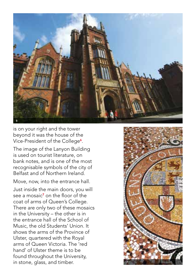

is on your right and the tower beyond it was the house of the Vice-President of the College**6**.

The image of the Lanyon Building is used on tourist literature, on bank notes, and is one of the most recognisable symbols of the city of Belfast and of Northern Ireland.

Move, now, into the entrance hall.

Just inside the main doors, you will see a mosaic<sup>7</sup> on the floor of the coat of arms of Queen's College. There are only two of these mosaics in the University – the other is in the entrance hall of the School of Music, the old Students' Union. It shows the arms of the Province of Ulster, quartered with the Royal arms of Queen Victoria. The 'red hand' of Ulster theme is to be found throughout the University, is on your right and the tow<br>beyond it was the house of<br>Vice-President of the Colleg<br>The image of the Lanyon Bi<br>is used on tourist literature,<br>bank notes, and is one of th<br>recognisable symbols of the<br>Belfast and of Norther

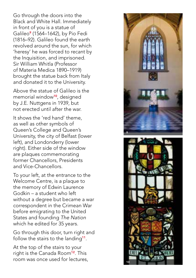Go through the doors into the Black and White Hall. Immediately in front of you is a statue of Galileo**°** (1564–1642), by Pio Fedi (1816–92). Galileo found the earth revolved around the sun, for which 'heresy' he was forced to recant by the Inquisition, and imprisoned. Sir William Whitla (Professor of Materia Medica 1890–1919) brought the statue back from Italy and donated it to the University.

Above the statue of Galileo is the memorial window<sup>10</sup>, designed by J.E. Nuttgens in 1939, but not erected until after the war.

It shows the 'red hand' theme, as well as other symbols of Queen's College and Queen's University, the city of Belfast (lower left), and Londonderry (lower right). Either side of the window are plaques commemorating former Chancellors, Presidents and Vice-Chancellors.

To your left, at the entrance to the Welcome Centre, is a plaque to the memory of Edwin Laurence Godkin – a student who left without a degree but became a war correspondent in the Crimean War before emigrating to the United States and founding *The Nation* which he edited for 35 years.

Go through this door, turn right and follow the stairs to the landing<sup>11</sup>.

At the top of the stairs to your right is the Canada Room<sup>12</sup>. This room was once used for lectures,



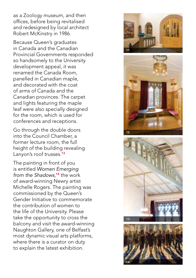as a Zoology museum, and then offices, before being revitalised and redesigned by local architect Robert McKinstry in 1986.

Because Queen's graduates in Canada and the Canadian Provincial Governments responded so handsomely to the University development appeal, it was renamed the Canada Room, panelled in Canadian maple, and decorated with the coat of arms of Canada and the Canadian provinces. The carpet and lights featuring the maple leaf were also specially designed for the room, which is used for conferences and receptions.

Go through the double doors into the Council Chamber, a former lecture room, the full height of the building revealing Lanyon's roof trusses.<sup>13</sup>

The painting in front of you is entitled *Women Emerging from the Shadows* , <sup>14</sup> the work of award-winning Newry artist Michelle Rogers. The painting was commissioned by the Queen's Gender Initiative to commemorate the contribution of women to the life of the University. Please take the opportunity to cross the balcony and visit the award-winning Naughton Gallery, one of Belfast's most dynamic visual arts platforms, where there is a curator on duty to explain the latest exhibition.







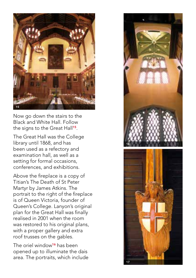

Now go down the stairs to the Black and White Hall. Follow the signs to the Great Hall<sup>15</sup>.

The Great Hall was the College library until 1868, and has been used as a refectory and examination hall, as well as a setting for formal occasions, conferences, and exhibitions.

Above the fireplace is a copy of Titian's The Death of St Peter Martyr by James Atkins. The portrait to the right of the fireplace is of Queen Victoria, founder of Queen's College. Lanyon's original plan for the Great Hall was finally realised in 2001 when the room was restored to his original plans, with a proper gallery and extra roof trusses on the gables.

The oriel window<sup>16</sup> has been opened up to illuminate the dais area. The portraits, which include

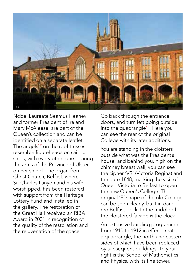

Nobel Laureate Seamus Heaney and former President of Ireland Mary McAleese, are part of the Queen's collection and can be identified on a separate leaflet. The angels<sup>17</sup> on the roof trusses resemble figureheads on sailing ships, with every other one bearing the arms of the Province of Ulster on her shield. The organ from Christ Church, Belfast, where Sir Charles Lanyon and his wife worshipped, has been restored with support from the Heritage Lottery Fund and installed in the gallery. The restoration of the Great Hall received an RIBA Award in 2001 in recognition of the quality of the restoration and the rejuvenation of the space.

Go back through the entrance doors, and turn left going outside into the quadrangle<sup>18</sup>. Here you can see the rear of the original College with its later additions.

You are standing in the cloisters outside what was the President's house, and behind you, high on the chimney breast wall, you can see the cipher 'VR' (Victoria Regina) and the date 1848, marking the visit of Queen Victoria to Belfast to open the new Queen's College. The original 'E' shape of the old College can be seen clearly, built in dark red Belfast brick. In the middle of the cloistered facade is the clock.

An extensive building programme from 1910 to 1912 in effect created a quadrangle, the north and eastern sides of which have been replaced by subsequent buildings. To your right is the School of Mathematics and Physics, with its fine tower,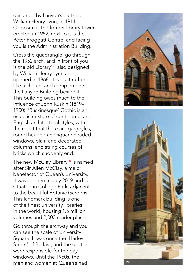designed by Lanyon's partner, William Henry Lynn, in 1911. Opposite is the former library tower erected in 1952; next to it is the Peter Froggatt Centre, and facing you is the Administration Building.

Cross the quadrangle, go through the 1952 arch, and in front of you is the old Library<sup>19</sup>, also designed by William Henry Lynn and opened in 1868. It is built rather like a church, and complements the Lanyon Building beside it. This building owes much to the influence of John Ruskin (1819– 1900). 'Ruskinesque' Gothic is an eclectic mixture of continental and English architectural styles, with the result that there are gargoyles, round headed and square headed windows, plain and decorated columns, and string courses of bricks which suddenly end.

The new McClay Library<sup>20</sup> is named after Sir Allen McClay, a major benefactor of Queen's University. It was opened in July 2009 and is situated in College Park, adjacent to the beautiful Botanic Gardens. This landmark building is one of the finest university libraries in the world, housing 1.5 million volumes and 2,000 reader places.

Go through the archway and you can see the scale of University Square. It was once the 'Harley Street' of Belfast, and the doctors were responsible for the bay windows. Until the 1960s, the men and women at Queen's had



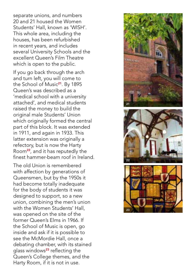separate unions, and numbers 20 and 21 housed the Women Students' Hall, known as 'WISH'. This whole area, including the houses, has been refurbished in recent years, and includes several University Schools and the excellent Queen's Film Theatre which is open to the public.

If you go back through the arch and turn left, you will come to the School of Music<sup>21</sup>. By 1895 Queen's was described as a 'medical school with a university attached', and medical students raised the money to build the original male Students' Union which originally formed the central part of this block. It was extended in 1911, and again in 1933. This latter extension was originally a refectory, but is now the Harty Room<sup>22</sup>, and it has reputedly the finest hammer-beam roof in Ireland.

The old Union is remembered with affection by generations of Queensmen, but by the 1950s it had become totally inadequate for the body of students it was designed to support, so a new union, combining the men's union with the Women Students' Hall, was opened on the site of the former Queen's Elms in 1966. If the School of Music is open, go inside and ask if it is possible to see the McMordie Hall, once a debating chamber, with its stained glass windows<sup>23</sup> reflecting the Queen's College themes, and the Harty Room, if it is not in use.





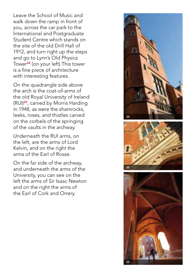Leave the School of Music and walk down the ramp in front of you, across the car park to the International and Postgraduate Student Centre which stands on the site of the old Drill Hall of 1912, and turn right up the steps and go to Lynn's Old Physics Tower<sup>24</sup> (on your left). This tower is a fine piece of architecture with interesting features.

On the quadrangle side above the arch is the coat-of-arms of the old Royal University of Ireland (RUI)<sup>25</sup>, carved by Morris Harding in 1948, as were the shamrocks, leeks, roses, and thistles carved on the corbels of the springing of the vaults in the archway.

Underneath the RUI arms, on the left, are the arms of Lord Kelvin, and on the right the arms of the Earl of Rosse.

On the far side of the archway, and underneath the arms of the University, you can see on the left the arms of Sir Isaac Newton and on the right the arms of the Earl of Cork and Orrery.





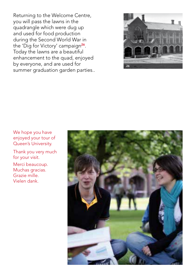Returning to the Welcome Centre, you will pass the lawns in the quadrangle which were dug up and used for food production during the Second World War in the 'Dig for Victory' campaign<sup>26</sup>. Today the lawns are a beautiful enhancement to the quad, enjoyed by everyone, and are used for by everyone, and are used for  $\frac{1}{26}$ <br>summer graduation garden parties..



#### We hope you have enjoyed your tour of Queen's University.

Thank you very much for your visit.

Merci beaucoup. Muchas gracias. Grazie mille. Vielen dank.